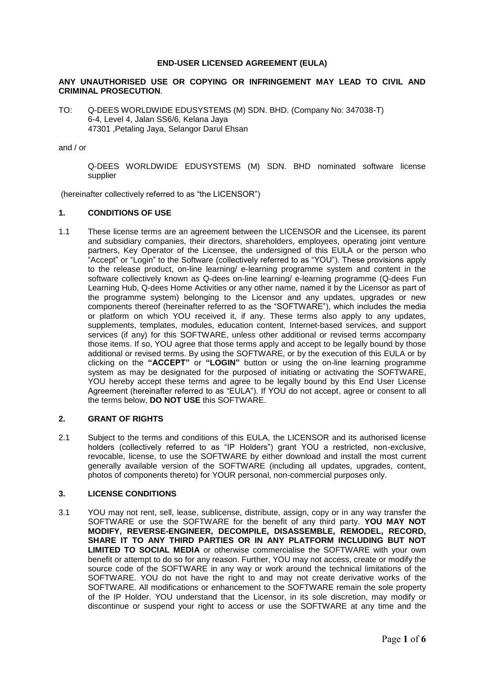### **END-USER LICENSED AGREEMENT (EULA)**

# **ANY UNAUTHORISED USE OR COPYING OR INFRINGEMENT MAY LEAD TO CIVIL AND CRIMINAL PROSECUTION**.

TO: Q-DEES WORLDWIDE EDUSYSTEMS (M) SDN. BHD. (Company No: 347038-T) 6-4, Level 4, Jalan SS6/6, Kelana Jaya 47301 ,Petaling Jaya, Selangor Darul Ehsan

#### and / or

Q-DEES WORLDWIDE EDUSYSTEMS (M) SDN. BHD nominated software license supplier

(hereinafter collectively referred to as "the LICENSOR")

### **1. CONDITIONS OF USE**

1.1 These license terms are an agreement between the LICENSOR and the Licensee, its parent and subsidiary companies, their directors, shareholders, employees, operating joint venture partners, Key Operator of the Licensee, the undersigned of this EULA or the person who "Accept" or "Login" to the Software (collectively referred to as "YOU"). These provisions apply to the release product, on-line learning/ e-learning programme system and content in the software collectively known as Q-dees on-line learning/ e-learning programme (Q-dees Fun Learning Hub, Q-dees Home Activities or any other name, named it by the Licensor as part of the programme system) belonging to the Licensor and any updates, upgrades or new components thereof (hereinafter referred to as the "SOFTWARE"), which includes the media or platform on which YOU received it, if any. These terms also apply to any updates, supplements, templates, modules, education content, Internet-based services, and support services (if any) for this SOFTWARE, unless other additional or revised terms accompany those items. If so, YOU agree that those terms apply and accept to be legally bound by those additional or revised terms. By using the SOFTWARE, or by the execution of this EULA or by clicking on the **"ACCEPT"** or **"LOGIN"** button or using the on-line learning programme system as may be designated for the purposed of initiating or activating the SOFTWARE, YOU hereby accept these terms and agree to be legally bound by this End User License Agreement (hereinafter referred to as "EULA"). If YOU do not accept, agree or consent to all the terms below, **DO NOT USE** this SOFTWARE.

# **2. GRANT OF RIGHTS**

2.1 Subject to the terms and conditions of this EULA, the LICENSOR and its authorised license holders (collectively referred to as "IP Holders") grant YOU a restricted, non-exclusive, revocable, license, to use the SOFTWARE by either download and install the most current generally available version of the SOFTWARE (including all updates, upgrades, content, photos of components thereto) for YOUR personal, non-commercial purposes only.

# **3. LICENSE CONDITIONS**

3.1 YOU may not rent, sell, lease, sublicense, distribute, assign, copy or in any way transfer the SOFTWARE or use the SOFTWARE for the benefit of any third party. **YOU MAY NOT MODIFY, REVERSE-ENGINEER, DECOMPILE, DISASSEMBLE, REMODEL, RECORD, SHARE IT TO ANY THIRD PARTIES OR IN ANY PLATFORM INCLUDING BUT NOT LIMITED TO SOCIAL MEDIA** or otherwise commercialise the SOFTWARE with your own benefit or attempt to do so for any reason. Further, YOU may not access, create or modify the source code of the SOFTWARE in any way or work around the technical limitations of the SOFTWARE. YOU do not have the right to and may not create derivative works of the SOFTWARE. All modifications or enhancement to the SOFTWARE remain the sole property of the IP Holder. YOU understand that the Licensor, in its sole discretion, may modify or discontinue or suspend your right to access or use the SOFTWARE at any time and the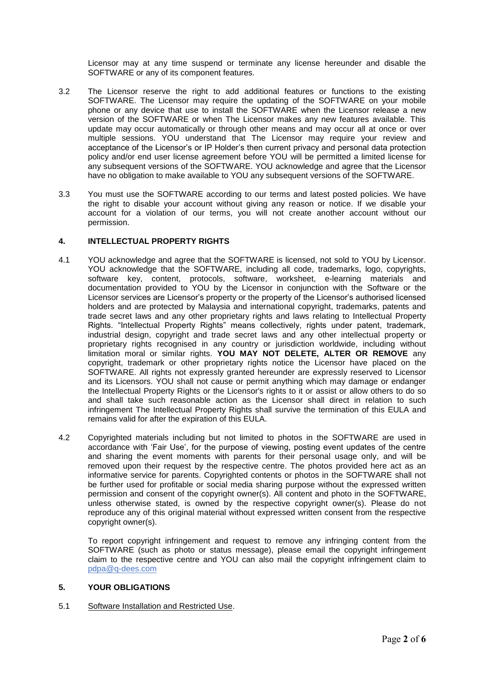Licensor may at any time suspend or terminate any license hereunder and disable the SOFTWARE or any of its component features.

- 3.2 The Licensor reserve the right to add additional features or functions to the existing SOFTWARE. The Licensor may require the updating of the SOFTWARE on your mobile phone or any device that use to install the SOFTWARE when the Licensor release a new version of the SOFTWARE or when The Licensor makes any new features available. This update may occur automatically or through other means and may occur all at once or over multiple sessions. YOU understand that The Licensor may require your review and acceptance of the Licensor's or IP Holder's then current privacy and personal data protection policy and/or end user license agreement before YOU will be permitted a limited license for any subsequent versions of the SOFTWARE. YOU acknowledge and agree that the Licensor have no obligation to make available to YOU any subsequent versions of the SOFTWARE.
- 3.3 You must use the SOFTWARE according to our terms and latest posted policies. We have the right to disable your account without giving any reason or notice. If we disable your account for a violation of our terms, you will not create another account without our permission.

# **4. INTELLECTUAL PROPERTY RIGHTS**

- 4.1 YOU acknowledge and agree that the SOFTWARE is licensed, not sold to YOU by Licensor. YOU acknowledge that the SOFTWARE, including all code, trademarks, logo, copyrights, software key, content, protocols, software, worksheet, e-learning materials and documentation provided to YOU by the Licensor in conjunction with the Software or the Licensor services are Licensor's property or the property of the Licensor's authorised licensed holders and are protected by Malaysia and international copyright, trademarks, patents and trade secret laws and any other proprietary rights and laws relating to Intellectual Property Rights. "Intellectual Property Rights" means collectively, rights under patent, trademark, industrial design, copyright and trade secret laws and any other intellectual property or proprietary rights recognised in any country or jurisdiction worldwide, including without limitation moral or similar rights. **YOU MAY NOT DELETE, ALTER OR REMOVE** any copyright, trademark or other proprietary rights notice the Licensor have placed on the SOFTWARE. All rights not expressly granted hereunder are expressly reserved to Licensor and its Licensors. YOU shall not cause or permit anything which may damage or endanger the Intellectual Property Rights or the Licensor's rights to it or assist or allow others to do so and shall take such reasonable action as the Licensor shall direct in relation to such infringement The Intellectual Property Rights shall survive the termination of this EULA and remains valid for after the expiration of this EULA.
- 4.2 Copyrighted materials including but not limited to photos in the SOFTWARE are used in accordance with 'Fair Use', for the purpose of viewing, posting event updates of the centre and sharing the event moments with parents for their personal usage only, and will be removed upon their request by the respective centre. The photos provided here act as an informative service for parents. Copyrighted contents or photos in the SOFTWARE shall not be further used for profitable or social media sharing purpose without the expressed written permission and consent of the copyright owner(s). All content and photo in the SOFTWARE, unless otherwise stated, is owned by the respective copyright owner(s). Please do not reproduce any of this original material without expressed written consent from the respective copyright owner(s).

To report copyright infringement and request to remove any infringing content from the SOFTWARE (such as photo or status message), please email the copyright infringement claim to the respective centre and YOU can also mail the copyright infringement claim to pdpa@q-dees.com

# **5. YOUR OBLIGATIONS**

5.1 Software Installation and Restricted Use.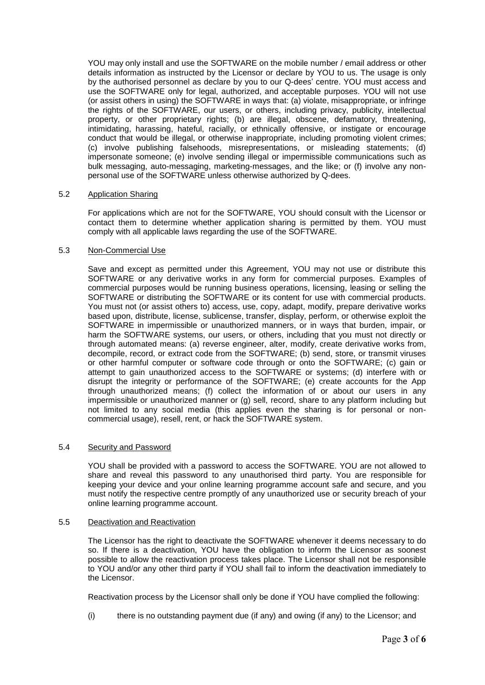YOU may only install and use the SOFTWARE on the mobile number / email address or other details information as instructed by the Licensor or declare by YOU to us. The usage is only by the authorised personnel as declare by you to our Q-dees' centre. YOU must access and use the SOFTWARE only for legal, authorized, and acceptable purposes. YOU will not use (or assist others in using) the SOFTWARE in ways that: (a) violate, misappropriate, or infringe the rights of the SOFTWARE, our users, or others, including privacy, publicity, intellectual property, or other proprietary rights; (b) are illegal, obscene, defamatory, threatening, intimidating, harassing, hateful, racially, or ethnically offensive, or instigate or encourage conduct that would be illegal, or otherwise inappropriate, including promoting violent crimes; (c) involve publishing falsehoods, misrepresentations, or misleading statements; (d) impersonate someone; (e) involve sending illegal or impermissible communications such as bulk messaging, auto-messaging, marketing-messages, and the like; or (f) involve any nonpersonal use of the SOFTWARE unless otherwise authorized by Q-dees.

# 5.2 Application Sharing

For applications which are not for the SOFTWARE, YOU should consult with the Licensor or contact them to determine whether application sharing is permitted by them. YOU must comply with all applicable laws regarding the use of the SOFTWARE.

# 5.3 Non-Commercial Use

Save and except as permitted under this Agreement, YOU may not use or distribute this SOFTWARE or any derivative works in any form for commercial purposes. Examples of commercial purposes would be running business operations, licensing, leasing or selling the SOFTWARE or distributing the SOFTWARE or its content for use with commercial products. You must not (or assist others to) access, use, copy, adapt, modify, prepare derivative works based upon, distribute, license, sublicense, transfer, display, perform, or otherwise exploit the SOFTWARE in impermissible or unauthorized manners, or in ways that burden, impair, or harm the SOFTWARE systems, our users, or others, including that you must not directly or through automated means: (a) reverse engineer, alter, modify, create derivative works from, decompile, record, or extract code from the SOFTWARE; (b) send, store, or transmit viruses or other harmful computer or software code through or onto the SOFTWARE; (c) gain or attempt to gain unauthorized access to the SOFTWARE or systems; (d) interfere with or disrupt the integrity or performance of the SOFTWARE; (e) create accounts for the App through unauthorized means; (f) collect the information of or about our users in any impermissible or unauthorized manner or (g) sell, record, share to any platform including but not limited to any social media (this applies even the sharing is for personal or noncommercial usage), resell, rent, or hack the SOFTWARE system.

#### 5.4 Security and Password

YOU shall be provided with a password to access the SOFTWARE. YOU are not allowed to share and reveal this password to any unauthorised third party. You are responsible for keeping your device and your online learning programme account safe and secure, and you must notify the respective centre promptly of any unauthorized use or security breach of your online learning programme account.

### 5.5 Deactivation and Reactivation

The Licensor has the right to deactivate the SOFTWARE whenever it deems necessary to do so. If there is a deactivation, YOU have the obligation to inform the Licensor as soonest possible to allow the reactivation process takes place. The Licensor shall not be responsible to YOU and/or any other third party if YOU shall fail to inform the deactivation immediately to the Licensor.

Reactivation process by the Licensor shall only be done if YOU have complied the following:

(i) there is no outstanding payment due (if any) and owing (if any) to the Licensor; and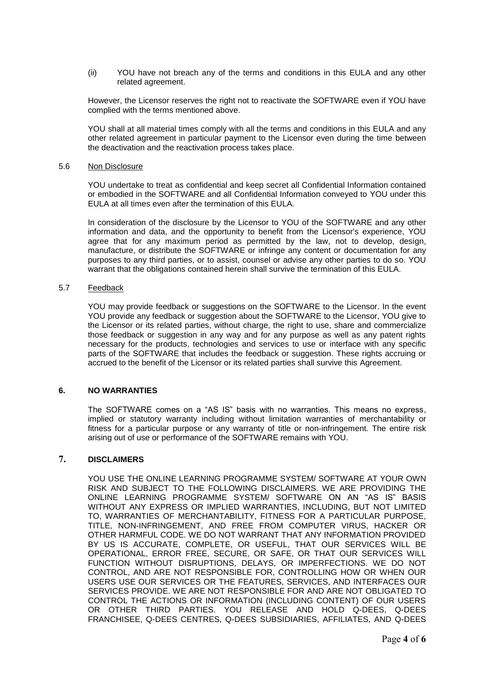(ii) YOU have not breach any of the terms and conditions in this EULA and any other related agreement.

However, the Licensor reserves the right not to reactivate the SOFTWARE even if YOU have complied with the terms mentioned above.

YOU shall at all material times comply with all the terms and conditions in this EULA and any other related agreement in particular payment to the Licensor even during the time between the deactivation and the reactivation process takes place.

#### 5.6 Non Disclosure

YOU undertake to treat as confidential and keep secret all Confidential Information contained or embodied in the SOFTWARE and all Confidential Information conveyed to YOU under this EULA at all times even after the termination of this EULA.

In consideration of the disclosure by the Licensor to YOU of the SOFTWARE and any other information and data, and the opportunity to benefit from the Licensor's experience, YOU agree that for any maximum period as permitted by the law, not to develop, design, manufacture, or distribute the SOFTWARE or infringe any content or documentation for any purposes to any third parties, or to assist, counsel or advise any other parties to do so. YOU warrant that the obligations contained herein shall survive the termination of this EULA.

#### 5.7 Feedback

YOU may provide feedback or suggestions on the SOFTWARE to the Licensor. In the event YOU provide any feedback or suggestion about the SOFTWARE to the Licensor, YOU give to the Licensor or its related parties, without charge, the right to use, share and commercialize those feedback or suggestion in any way and for any purpose as well as any patent rights necessary for the products, technologies and services to use or interface with any specific parts of the SOFTWARE that includes the feedback or suggestion. These rights accruing or accrued to the benefit of the Licensor or its related parties shall survive this Agreement.

#### **6. NO WARRANTIES**

The SOFTWARE comes on a "AS IS" basis with no warranties. This means no express, implied or statutory warranty including without limitation warranties of merchantability or fitness for a particular purpose or any warranty of title or non-infringement. The entire risk arising out of use or performance of the SOFTWARE remains with YOU.

# **7. DISCLAIMERS**

YOU USE THE ONLINE LEARNING PROGRAMME SYSTEM/ SOFTWARE AT YOUR OWN RISK AND SUBJECT TO THE FOLLOWING DISCLAIMERS. WE ARE PROVIDING THE ONLINE LEARNING PROGRAMME SYSTEM/ SOFTWARE ON AN "AS IS" BASIS WITHOUT ANY EXPRESS OR IMPLIED WARRANTIES, INCLUDING, BUT NOT LIMITED TO, WARRANTIES OF MERCHANTABILITY, FITNESS FOR A PARTICULAR PURPOSE, TITLE, NON-INFRINGEMENT, AND FREE FROM COMPUTER VIRUS, HACKER OR OTHER HARMFUL CODE. WE DO NOT WARRANT THAT ANY INFORMATION PROVIDED BY US IS ACCURATE, COMPLETE, OR USEFUL, THAT OUR SERVICES WILL BE OPERATIONAL, ERROR FREE, SECURE, OR SAFE, OR THAT OUR SERVICES WILL FUNCTION WITHOUT DISRUPTIONS, DELAYS, OR IMPERFECTIONS. WE DO NOT CONTROL, AND ARE NOT RESPONSIBLE FOR, CONTROLLING HOW OR WHEN OUR USERS USE OUR SERVICES OR THE FEATURES, SERVICES, AND INTERFACES OUR SERVICES PROVIDE. WE ARE NOT RESPONSIBLE FOR AND ARE NOT OBLIGATED TO CONTROL THE ACTIONS OR INFORMATION (INCLUDING CONTENT) OF OUR USERS OR OTHER THIRD PARTIES. YOU RELEASE AND HOLD Q-DEES, Q-DEES FRANCHISEE, Q-DEES CENTRES, Q-DEES SUBSIDIARIES, AFFILIATES, AND Q-DEES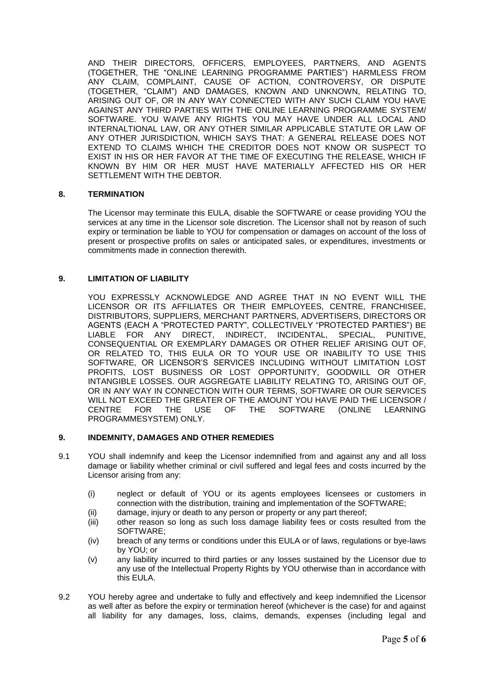AND THEIR DIRECTORS, OFFICERS, EMPLOYEES, PARTNERS, AND AGENTS (TOGETHER, THE "ONLINE LEARNING PROGRAMME PARTIES") HARMLESS FROM ANY CLAIM, COMPLAINT, CAUSE OF ACTION, CONTROVERSY, OR DISPUTE (TOGETHER, "CLAIM") AND DAMAGES, KNOWN AND UNKNOWN, RELATING TO, ARISING OUT OF, OR IN ANY WAY CONNECTED WITH ANY SUCH CLAIM YOU HAVE AGAINST ANY THIRD PARTIES WITH THE ONLINE LEARNING PROGRAMME SYSTEM/ SOFTWARE. YOU WAIVE ANY RIGHTS YOU MAY HAVE UNDER ALL LOCAL AND INTERNALTIONAL LAW, OR ANY OTHER SIMILAR APPLICABLE STATUTE OR LAW OF ANY OTHER JURISDICTION, WHICH SAYS THAT: A GENERAL RELEASE DOES NOT EXTEND TO CLAIMS WHICH THE CREDITOR DOES NOT KNOW OR SUSPECT TO EXIST IN HIS OR HER FAVOR AT THE TIME OF EXECUTING THE RELEASE, WHICH IF KNOWN BY HIM OR HER MUST HAVE MATERIALLY AFFECTED HIS OR HER SETTLEMENT WITH THE DEBTOR.

#### **8. TERMINATION**

The Licensor may terminate this EULA, disable the SOFTWARE or cease providing YOU the services at any time in the Licensor sole discretion. The Licensor shall not by reason of such expiry or termination be liable to YOU for compensation or damages on account of the loss of present or prospective profits on sales or anticipated sales, or expenditures, investments or commitments made in connection therewith.

# **9. LIMITATION OF LIABILITY**

YOU EXPRESSLY ACKNOWLEDGE AND AGREE THAT IN NO EVENT WILL THE LICENSOR OR ITS AFFILIATES OR THEIR EMPLOYEES, CENTRE, FRANCHISEE, DISTRIBUTORS, SUPPLIERS, MERCHANT PARTNERS, ADVERTISERS, DIRECTORS OR AGENTS (EACH A "PROTECTED PARTY", COLLECTIVELY "PROTECTED PARTIES") BE LIABLE FOR ANY DIRECT, INDIRECT, INCIDENTAL, SPECIAL, PUNITIVE, CONSEQUENTIAL OR EXEMPLARY DAMAGES OR OTHER RELIEF ARISING OUT OF, OR RELATED TO, THIS EULA OR TO YOUR USE OR INABILITY TO USE THIS SOFTWARE, OR LICENSOR'S SERVICES INCLUDING WITHOUT LIMITATION LOST PROFITS, LOST BUSINESS OR LOST OPPORTUNITY, GOODWILL OR OTHER INTANGIBLE LOSSES. OUR AGGREGATE LIABILITY RELATING TO, ARISING OUT OF, OR IN ANY WAY IN CONNECTION WITH OUR TERMS, SOFTWARE OR OUR SERVICES WILL NOT EXCEED THE GREATER OF THE AMOUNT YOU HAVE PAID THE LICENSOR / CENTRE FOR THE USE OF THE SOFTWARE (ONLINE LEARNING PROGRAMMESYSTEM) ONLY.

#### **9. INDEMNITY, DAMAGES AND OTHER REMEDIES**

- 9.1 YOU shall indemnify and keep the Licensor indemnified from and against any and all loss damage or liability whether criminal or civil suffered and legal fees and costs incurred by the Licensor arising from any:
	- (i) neglect or default of YOU or its agents employees licensees or customers in connection with the distribution, training and implementation of the SOFTWARE;
	- (ii) damage, injury or death to any person or property or any part thereof;
	- (iii) other reason so long as such loss damage liability fees or costs resulted from the SOFTWARE;
	- (iv) breach of any terms or conditions under this EULA or of laws, regulations or bye-laws by YOU; or
	- (v) any liability incurred to third parties or any losses sustained by the Licensor due to any use of the Intellectual Property Rights by YOU otherwise than in accordance with this EULA.
- 9.2 YOU hereby agree and undertake to fully and effectively and keep indemnified the Licensor as well after as before the expiry or termination hereof (whichever is the case) for and against all liability for any damages, loss, claims, demands, expenses (including legal and